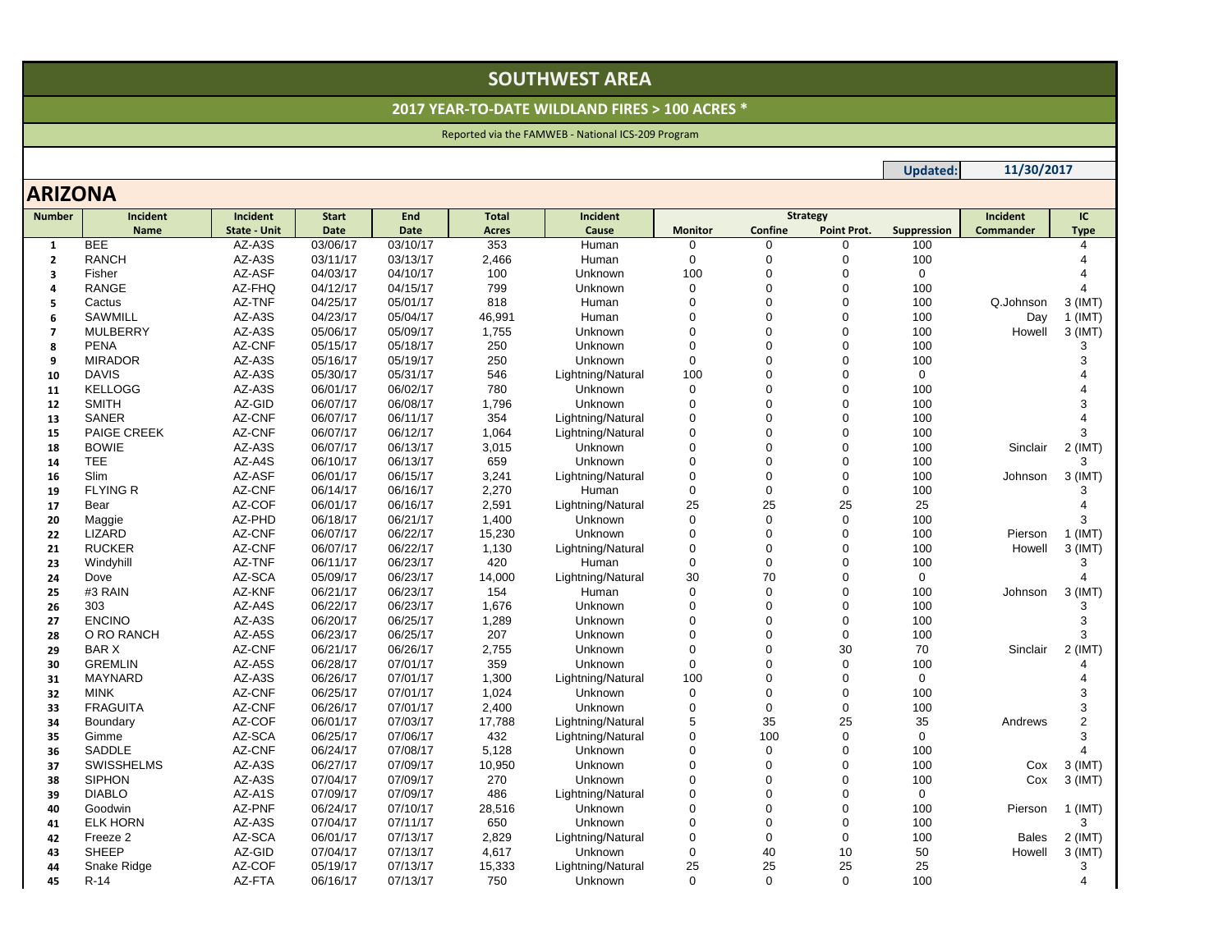# **SOUTHWEST AREA**

#### **2017 YEAR‐TO‐DATE WILDLAND FIRES <sup>&</sup>gt; 100 ACRES \***

### Reported via the FAMWEB ‐ National ICS‐209 Program

## **ARIZONA**

| <b>Number</b>  | Incident           | Incident            | <b>Start</b> | End      | <b>Total</b> | <b>Incident</b>   | <b>Strategy</b> |                |             | Incident    | IC           |                        |
|----------------|--------------------|---------------------|--------------|----------|--------------|-------------------|-----------------|----------------|-------------|-------------|--------------|------------------------|
|                | <b>Name</b>        | <b>State - Unit</b> | <b>Date</b>  | Date     | <b>Acres</b> | Cause             | <b>Monitor</b>  | Confine        | Point Prot. | Suppression | Commander    | <b>Type</b>            |
| $\mathbf{1}$   | <b>BEE</b>         | AZ-A3S              | 03/06/17     | 03/10/17 | 353          | Human             | 0               | 0              | $\Omega$    | 100         |              |                        |
| $\overline{2}$ | <b>RANCH</b>       | AZ-A3S              | 03/11/17     | 03/13/17 | 2,466        | Human             | $\mathbf 0$     | 0              | 0           | 100         |              |                        |
| 3              | Fisher             | AZ-ASF              | 04/03/17     | 04/10/17 | 100          | Unknown           | 100             | $\overline{0}$ | $\Omega$    | 0           |              |                        |
| 4              | RANGE              | AZ-FHQ              | 04/12/17     | 04/15/17 | 799          | Unknown           | $\mathbf 0$     | 0              | 0           | 100         |              |                        |
| 5              | Cactus             | AZ-TNF              | 04/25/17     | 05/01/17 | 818          | Human             | $\mathbf 0$     | $\Omega$       | $\Omega$    | 100         | Q.Johnson    | $3$ (IMT)              |
| 6              | <b>SAWMILL</b>     | AZ-A3S              | 04/23/17     | 05/04/17 | 46,991       | Human             | $\Omega$        | $\Omega$       | 0           | 100         | Day          | $1$ (IMT)              |
| $\overline{7}$ | <b>MULBERRY</b>    | AZ-A3S              | 05/06/17     | 05/09/17 | 1,755        | Unknown           | $\mathbf 0$     | $\Omega$       | 0           | 100         | Howell       | $3$ (IMT)              |
| 8              | <b>PENA</b>        | AZ-CNF              | 05/15/17     | 05/18/17 | 250          | Unknown           | $\mathbf 0$     | 0              | $\Omega$    | 100         |              | 3                      |
| 9              | <b>MIRADOR</b>     | AZ-A3S              | 05/16/17     | 05/19/17 | 250          | Unknown           | $\Omega$        | $\Omega$       | $\Omega$    | 100         |              | 3                      |
| 10             | <b>DAVIS</b>       | AZ-A3S              | 05/30/17     | 05/31/17 | 546          | Lightning/Natural | 100             | 0              | 0           | 0           |              |                        |
| 11             | <b>KELLOGG</b>     | AZ-A3S              | 06/01/17     | 06/02/17 | 780          | Unknown           | $\mathbf 0$     | $\Omega$       | 0           | 100         |              | Δ                      |
| 12             | <b>SMITH</b>       | AZ-GID              | 06/07/17     | 06/08/17 | 1,796        | Unknown           | $\mathbf 0$     | $\Omega$       | $\Omega$    | 100         |              | 3                      |
| 13             | <b>SANER</b>       | AZ-CNF              | 06/07/17     | 06/11/17 | 354          | Lightning/Natural | $\Omega$        | O              | $\Omega$    | 100         |              |                        |
| 15             | <b>PAIGE CREEK</b> | AZ-CNF              | 06/07/17     | 06/12/17 | 1,064        | Lightning/Natural | $\mathbf 0$     | $\overline{0}$ | 0           | 100         |              | 3                      |
| 18             | <b>BOWIE</b>       | AZ-A3S              | 06/07/17     | 06/13/17 | 3,015        | Unknown           | $\mathbf 0$     | 0              | 0           | 100         | Sinclair     | $2$ (IMT)              |
| 14             | <b>TEE</b>         | AZ-A4S              | 06/10/17     | 06/13/17 | 659          | Unknown           | $\mathbf 0$     | $\overline{0}$ | 0           | 100         |              | 3                      |
| 16             | <b>Slim</b>        | AZ-ASF              | 06/01/17     | 06/15/17 | 3,241        | Lightning/Natural | $\mathbf 0$     | 0              | 0           | 100         | Johnson      | $3$ (IMT)              |
| 19             | <b>FLYING R</b>    | AZ-CNF              | 06/14/17     | 06/16/17 | 2,270        | Human             | $\Omega$        | $\Omega$       | 0           | 100         |              | 3                      |
| 17             | Bear               | AZ-COF              | 06/01/17     | 06/16/17 | 2,591        | Lightning/Natural | 25              | 25             | 25          | 25          |              |                        |
| 20             | Maggie             | AZ-PHD              | 06/18/17     | 06/21/17 | 1,400        | Unknown           | $\mathbf 0$     | $\Omega$       | $\mathbf 0$ | 100         |              | 3                      |
| 22             | LIZARD             | AZ-CNF              | 06/07/17     | 06/22/17 | 15,230       | Unknown           | $\mathbf 0$     | 0              | 0           | 100         | Pierson      | $1$ (IMT)              |
| 21             | <b>RUCKER</b>      | AZ-CNF              | 06/07/17     | 06/22/17 | 1,130        | Lightning/Natural | $\mathbf 0$     | 0              | $\Omega$    | 100         | Howell       | $3$ (IMT)              |
| 23             | Windyhill          | AZ-TNF              | 06/11/17     | 06/23/17 | 420          | Human             | $\mathbf 0$     | 0              | 0           | 100         |              | 3                      |
| 24             | Dove               | AZ-SCA              | 05/09/17     | 06/23/17 | 14,000       | Lightning/Natural | 30              | 70             | $\Omega$    | $\Omega$    |              | $\boldsymbol{\Lambda}$ |
| 25             | #3 RAIN            | AZ-KNF              | 06/21/17     | 06/23/17 | 154          | Human             | $\Omega$        | $\Omega$       | 0           | 100         | Johnson      | 3 (IMT)                |
| 26             | 303                | AZ-A4S              | 06/22/17     | 06/23/17 | 1,676        | Unknown           | $\mathbf 0$     | $\Omega$       | 0           | 100         |              | 3                      |
| 27             | <b>ENCINO</b>      | AZ-A3S              | 06/20/17     | 06/25/17 | 1,289        | Unknown           | $\Omega$        | $\Omega$       | $\Omega$    | 100         |              | 3                      |
| 28             | O RO RANCH         | AZ-A5S              | 06/23/17     | 06/25/17 | 207          | Unknown           | $\mathbf 0$     | 0              | $\mathbf 0$ | 100         |              | 3                      |
| 29             | <b>BARX</b>        | AZ-CNF              | 06/21/17     | 06/26/17 | 2,755        | Unknown           | $\mathbf 0$     | $\Omega$       | 30          | 70          | Sinclair     | $2$ (IMT)              |
| 30             | <b>GREMLIN</b>     | AZ-A5S              | 06/28/17     | 07/01/17 | 359          | Unknown           | $\mathbf 0$     | 0              | 0           | 100         |              | $\boldsymbol{\Delta}$  |
| 31             | <b>MAYNARD</b>     | AZ-A3S              | 06/26/17     | 07/01/17 | 1,300        | Lightning/Natural | 100             | $\Omega$       | 0           | $\Omega$    |              | Δ                      |
| 32             | <b>MINK</b>        | AZ-CNF              | 06/25/17     | 07/01/17 | 1,024        | Unknown           | $\mathbf 0$     | $\Omega$       | 0           | 100         |              | 3                      |
| 33             | <b>FRAGUITA</b>    | AZ-CNF              | 06/26/17     | 07/01/17 | 2,400        | Unknown           | $\mathbf 0$     | 0              | 0           | 100         |              | 3                      |
| 34             | Boundary           | AZ-COF              | 06/01/17     | 07/03/17 | 17,788       | Lightning/Natural | 5               | 35             | 25          | 35          | Andrews      | $\overline{c}$         |
| 35             | Gimme              | AZ-SCA              | 06/25/17     | 07/06/17 | 432          | Lightning/Natural | $\mathbf 0$     | 100            | $\mathbf 0$ | $\Omega$    |              | 3                      |
| 36             | <b>SADDLE</b>      | AZ-CNF              | 06/24/17     | 07/08/17 | 5,128        | Unknown           | $\mathbf 0$     | 0              | 0           | 100         |              | 4                      |
| 37             | <b>SWISSHELMS</b>  | AZ-A3S              | 06/27/17     | 07/09/17 | 10,950       | Unknown           | $\Omega$        | O              | $\Omega$    | 100         | Cox          | $3$ (IMT)              |
| 38             | <b>SIPHON</b>      | AZ-A3S              | 07/04/17     | 07/09/17 | 270          | Unknown           | $\mathbf 0$     | $\Omega$       | 0           | 100         | Cox          | $3$ (IMT)              |
| 39             | <b>DIABLO</b>      | AZ-A1S              | 07/09/17     | 07/09/17 | 486          | Lightning/Natural | $\Omega$        | 0              | 0           | $\mathbf 0$ |              |                        |
| 40             | Goodwin            | AZ-PNF              | 06/24/17     | 07/10/17 | 28,516       | Unknown           | $\mathbf 0$     | $\Omega$       | 0           | 100         | Pierson      | $1$ (IMT)              |
| 41             | <b>ELK HORN</b>    | AZ-A3S              | 07/04/17     | 07/11/17 | 650          | Unknown           | $\Omega$        | 0              | $\Omega$    | 100         |              | 3                      |
| 42             | Freeze 2           | AZ-SCA              | 06/01/17     | 07/13/17 | 2,829        | Lightning/Natural | $\mathbf 0$     | 0              | $\mathbf 0$ | 100         | <b>Bales</b> | $2$ (IMT)              |
| 43             | <b>SHEEP</b>       | AZ-GID              | 07/04/17     | 07/13/17 | 4,617        | Unknown           | $\mathbf 0$     | 40             | 10          | 50          | Howell       | 3 (IMT)                |
| 44             | Snake Ridge        | AZ-COF              | 05/19/17     | 07/13/17 | 15,333       | Lightning/Natural | 25              | 25             | 25          | 25          |              | 3                      |
| 45             | $R-14$             | AZ-FTA              | 06/16/17     | 07/13/17 | 750          | Unknown           | $\Omega$        | $\Omega$       | $\mathbf 0$ | 100         |              | 4                      |

**Updated: 11/30/2017**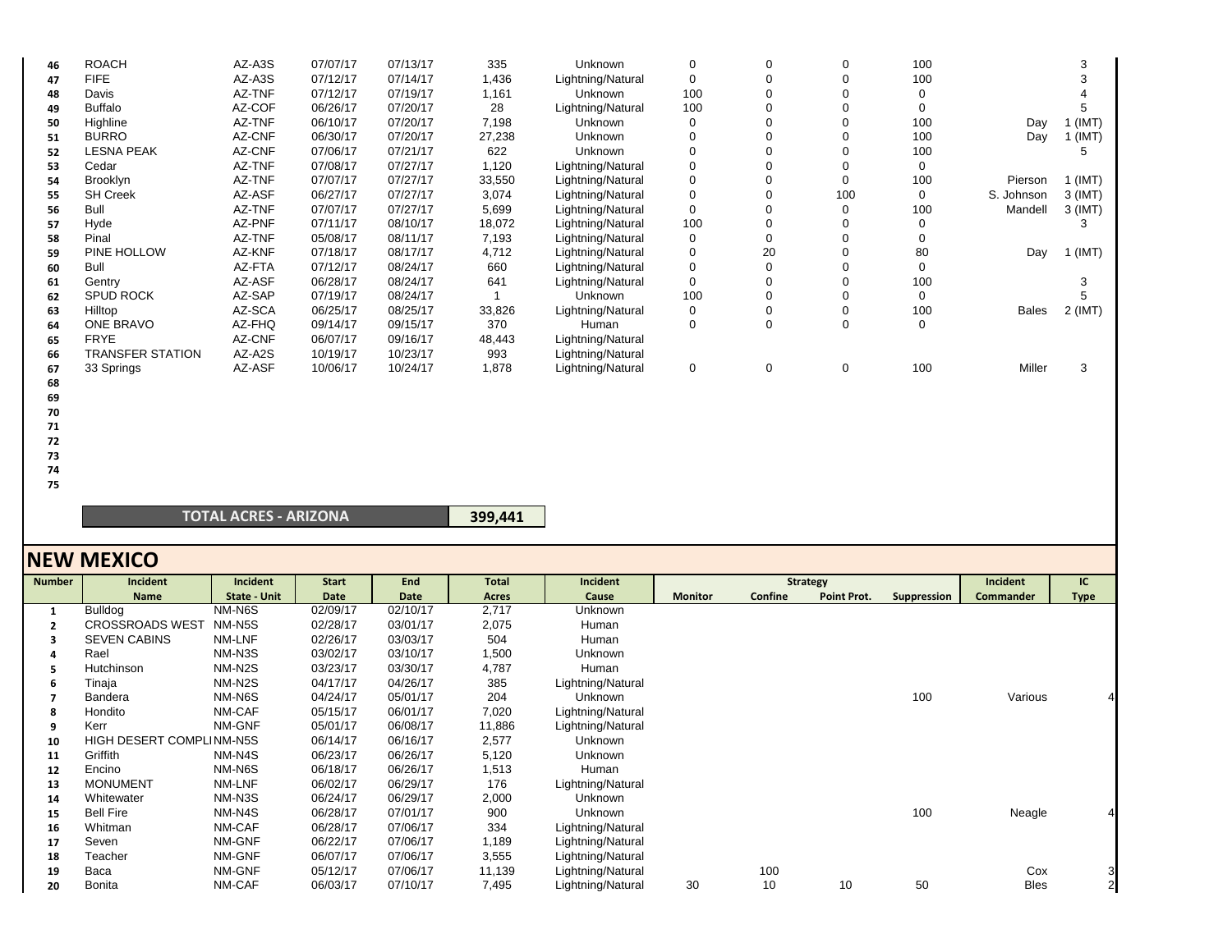| 46 | <b>ROACH</b>      | AZ-A3S | 07/07/17 | 07/13/17 | 335    | Unknown           |     |    |     | 100 |              |           |
|----|-------------------|--------|----------|----------|--------|-------------------|-----|----|-----|-----|--------------|-----------|
| 47 | <b>FIFE</b>       | AZ-A3S | 07/12/17 | 07/14/17 | 1,436  | Lightning/Natural | 0   |    |     | 100 |              |           |
| 48 | Davis             | AZ-TNF | 07/12/17 | 07/19/17 | 1,161  | <b>Unknown</b>    | 100 |    |     |     |              |           |
| 49 | <b>Buffalo</b>    | AZ-COF | 06/26/17 | 07/20/17 | 28     | Lightning/Natural | 100 |    |     |     |              |           |
| 50 | Highline          | AZ-TNF | 06/10/17 | 07/20/17 | 7,198  | <b>Unknown</b>    |     |    |     | 100 | Day          | (IMT)     |
| 51 | <b>BURRO</b>      | AZ-CNF | 06/30/17 | 07/20/17 | 27,238 | Unknown           |     |    |     | 100 | Day          | (IMT)     |
| 52 | <b>LESNA PEAK</b> | AZ-CNF | 07/06/17 | 07/21/17 | 622    | Unknown           |     |    |     | 100 |              |           |
| 53 | Cedar             | AZ-TNF | 07/08/17 | 07/27/17 | 1,120  | Lightning/Natural |     |    |     |     |              |           |
| 54 | <b>Brooklyn</b>   | AZ-TNF | 07/07/17 | 07/27/17 | 33,550 | Lightning/Natural |     |    |     | 100 | Pierson      | (IMT)     |
| 55 | <b>SH Creek</b>   | AZ-ASF | 06/27/17 | 07/27/17 | 3,074  | Lightning/Natural |     |    | 100 |     | S. Johnson   | 3 (IMT)   |
| 56 | Bull              | AZ-TNF | 07/07/17 | 07/27/17 | 5,699  | Lightning/Natural | 0   |    | 0   | 100 | Mandell      | 3 (IMT)   |
| 57 | Hyde              | AZ-PNF | 07/11/17 | 08/10/17 | 18,072 | Lightning/Natural | 100 |    |     |     |              |           |
| 58 | Pinal             | AZ-TNF | 05/08/17 | 08/11/17 | 7,193  | Lightning/Natural | 0   |    |     |     |              |           |
| 59 | PINE HOLLOW       | AZ-KNF | 07/18/17 | 08/17/17 | 4,712  | Lightning/Natural |     | 20 |     | 80  | Day          | (IMT)     |
| 60 | Bull              | AZ-FTA | 07/12/17 | 08/24/17 | 660    | Lightning/Natural |     |    |     |     |              |           |
| 61 | Gentry            | AZ-ASF | 06/28/17 | 08/24/17 | 641    | Lightning/Natural |     |    |     | 100 |              |           |
| 62 | <b>SPUD ROCK</b>  | AZ-SAP | 07/19/17 | 08/24/17 |        | <b>Unknown</b>    | 100 |    |     |     |              |           |
| 63 | Hilltop           | AZ-SCA | 06/25/17 | 08/25/17 | 33,826 | Lightning/Natural | ∩   |    |     | 100 | <b>Bales</b> | $2$ (IMT) |
| 64 | <b>ONE BRAVO</b>  | AZ-FHQ | 09/14/17 | 09/15/17 | 370    | Human             |     |    |     | ∩   |              |           |
| 65 | <b>FRYE</b>       | AZ-CNF | 06/07/17 | 09/16/17 | 48,443 | Lightning/Natural |     |    |     |     |              |           |
| 66 | TRANSFER STATION  | AZ-A2S | 10/19/17 | 10/23/17 | 993    | Lightning/Natural |     |    |     |     |              |           |
| 67 | 33 Springs        | AZ-ASF | 10/06/17 | 10/24/17 | 1,878  | Lightning/Natural | 0   |    | 0   | 100 | Miller       |           |

- **68**
- **69**
- **70 71**
- **72**
- **73**
- **74**

**75**

#### **TOTAL ACRES ‐ ARIZONA**

| 399,441 |  |
|---------|--|
|---------|--|

|                | <b>NEW MEXICO</b>        |              |              |          |              |                   |                |         |                    |             |           |                |
|----------------|--------------------------|--------------|--------------|----------|--------------|-------------------|----------------|---------|--------------------|-------------|-----------|----------------|
| <b>Number</b>  | Incident                 | Incident     | <b>Start</b> | End      | <b>Total</b> | Incident          |                |         | <b>Strategy</b>    |             | Incident  | IC             |
|                | <b>Name</b>              | State - Unit | Date         | Date     | Acres        | Cause             | <b>Monitor</b> | Confine | <b>Point Prot.</b> | Suppression | Commander | <b>Type</b>    |
| $\mathbf{1}$   | <b>Bulldog</b>           | NM-N6S       | 02/09/17     | 02/10/17 | 2,717        | Unknown           |                |         |                    |             |           |                |
| $\overline{2}$ | <b>CROSSROADS WEST</b>   | NM-N5S       | 02/28/17     | 03/01/17 | 2,075        | Human             |                |         |                    |             |           |                |
| 3              | <b>SEVEN CABINS</b>      | NM-LNF       | 02/26/17     | 03/03/17 | 504          | Human             |                |         |                    |             |           |                |
|                | Rael                     | NM-N3S       | 03/02/17     | 03/10/17 | 1,500        | Unknown           |                |         |                    |             |           |                |
| 5              | Hutchinson               | NM-N2S       | 03/23/17     | 03/30/17 | 4,787        | Human             |                |         |                    |             |           |                |
| 6              | Tinaja                   | NM-N2S       | 04/17/17     | 04/26/17 | 385          | Lightning/Natural |                |         |                    |             |           |                |
|                | <b>Bandera</b>           | NM-N6S       | 04/24/17     | 05/01/17 | 204          | Unknown           |                |         |                    | 100         | Various   |                |
| 8              | Hondito                  | NM-CAF       | 05/15/17     | 06/01/17 | 7,020        | Lightning/Natural |                |         |                    |             |           |                |
| 9              | Kerr                     | NM-GNF       | 05/01/17     | 06/08/17 | 11,886       | Lightning/Natural |                |         |                    |             |           |                |
| 10             | HIGH DESERT COMPLINM-N5S |              | 06/14/17     | 06/16/17 | 2,577        | <b>Unknown</b>    |                |         |                    |             |           |                |
| 11             | Griffith                 | NM-N4S       | 06/23/17     | 06/26/17 | 5,120        | Unknown           |                |         |                    |             |           |                |
| 12             | Encino                   | NM-N6S       | 06/18/17     | 06/26/17 | 1,513        | Human             |                |         |                    |             |           |                |
| 13             | <b>MONUMENT</b>          | NM-LNF       | 06/02/17     | 06/29/17 | 176          | Lightning/Natural |                |         |                    |             |           |                |
| 14             | Whitewater               | NM-N3S       | 06/24/17     | 06/29/17 | 2,000        | Unknown           |                |         |                    |             |           |                |
| 15             | <b>Bell Fire</b>         | NM-N4S       | 06/28/17     | 07/01/17 | 900          | Unknown           |                |         |                    | 100         | Neagle    |                |
| 16             | Whitman                  | NM-CAF       | 06/28/17     | 07/06/17 | 334          | Lightning/Natural |                |         |                    |             |           |                |
| 17             | Seven                    | NM-GNF       | 06/22/17     | 07/06/17 | 1,189        | Lightning/Natural |                |         |                    |             |           |                |
| 18             | Teacher                  | NM-GNF       | 06/07/17     | 07/06/17 | 3,555        | Lightning/Natural |                |         |                    |             |           |                |
| 19             | Baca                     | NM-GNF       | 05/12/17     | 07/06/17 | 11,139       | Lightning/Natural |                | 100     |                    |             | Cox       | 3              |
| 20             | Bonita                   | NM-CAF       | 06/03/17     | 07/10/17 | 7,495        | Lightning/Natural | 30             | 10      | 10                 | 50          | Bles      | $\overline{2}$ |